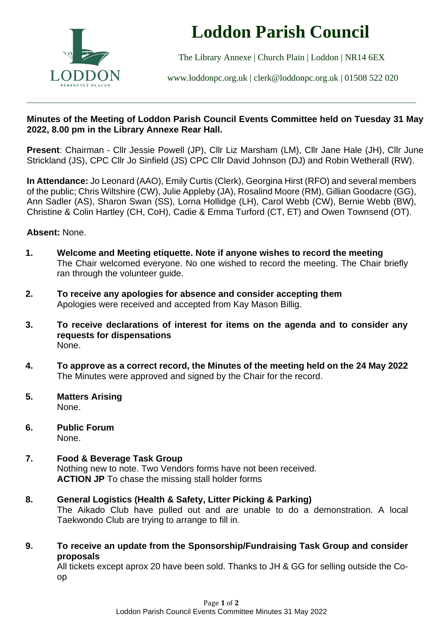

# **Loddon Parish Council**

The Library Annexe | Church Plain | Loddon | NR14 6EX

[www.loddonpc.org.uk](http://www.loddonpc.org.uk/) | [clerk@loddonpc.org.uk](mailto:clerk@loddonpc.org.uk) | 01508 522 020

## **Minutes of the Meeting of Loddon Parish Council Events Committee held on Tuesday 31 May 2022, 8.00 pm in the Library Annexe Rear Hall.**

\_\_\_\_\_\_\_\_\_\_\_\_\_\_\_\_\_\_\_\_\_\_\_\_\_\_\_\_\_\_\_\_\_\_\_\_\_\_\_\_\_\_\_\_\_\_\_\_\_\_\_\_\_\_\_\_\_\_\_\_\_\_\_\_\_\_\_\_\_\_\_\_\_\_\_\_\_\_\_\_\_\_\_\_\_\_\_\_\_\_\_\_\_\_\_\_\_\_\_\_\_\_\_\_\_\_\_\_\_\_\_\_\_\_\_\_\_\_\_\_\_\_\_\_\_\_\_\_\_\_\_\_\_\_\_\_\_\_\_\_

**Present**: Chairman - Cllr Jessie Powell (JP), Cllr Liz Marsham (LM), Cllr Jane Hale (JH), Cllr June Strickland (JS), CPC Cllr Jo Sinfield (JS) CPC Cllr David Johnson (DJ) and Robin Wetherall (RW).

**In Attendance:** Jo Leonard (AAO), Emily Curtis (Clerk), Georgina Hirst (RFO) and several members of the public; Chris Wiltshire (CW), Julie Appleby (JA), Rosalind Moore (RM), Gillian Goodacre (GG), Ann Sadler (AS), Sharon Swan (SS), Lorna Hollidge (LH), Carol Webb (CW), Bernie Webb (BW), Christine & Colin Hartley (CH, CoH), Cadie & Emma Turford (CT, ET) and Owen Townsend (OT).

## **Absent:** None.

- **1. Welcome and Meeting etiquette. Note if anyone wishes to record the meeting** The Chair welcomed everyone. No one wished to record the meeting. The Chair briefly ran through the volunteer guide.
- **2. To receive any apologies for absence and consider accepting them** Apologies were received and accepted from Kay Mason Billig.
- **3. To receive declarations of interest for items on the agenda and to consider any requests for dispensations** None.
- **4. To approve as a correct record, the Minutes of the meeting held on the 24 May 2022** The Minutes were approved and signed by the Chair for the record.
- **5. Matters Arising** None.
- **6. Public Forum** None.
- **7. Food & Beverage Task Group** Nothing new to note. Two Vendors forms have not been received. **ACTION JP** To chase the missing stall holder forms
- **8. General Logistics (Health & Safety, Litter Picking & Parking)**

The Aikado Club have pulled out and are unable to do a demonstration. A local Taekwondo Club are trying to arrange to fill in.

**9. To receive an update from the Sponsorship/Fundraising Task Group and consider proposals**

All tickets except aprox 20 have been sold. Thanks to JH & GG for selling outside the Coop